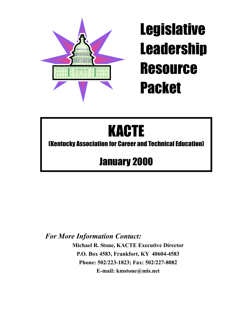

# **Legislative** Leadership **Resource** Packet

# KACTE

(Kentucky Association for Career and Technical Education)

## January 2000

*For More Information Contact:* 

**Michael R. Stone, KACTE Executive Director P.O. Box 4583, Frankfort, KY 40604-4583 Phone: 502/223-1823; Fax: 502/227-8082 E-mail: kmstone@mis.net**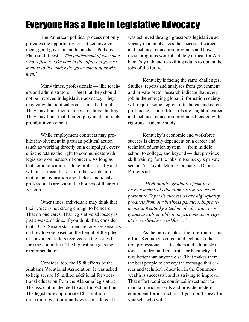#### Everyone Has a Role in Legislative Advocacy

 The American political process not only provides the opportunity for citizen involvement, good government demands it. Perhaps Plato said it best: *"The punishment of wise men who refuse to take part in the affairs of government is to live under the government of unwise men."* 

 Many times, professionals — like teachers and administrators — feel that they should not be involved in legislative advocacy. They may view the political process in a bad light. They may think their careers are above the fray. They may think that their employment contracts prohibit involvement.

 While employment contracts may prohibit involvement in partisan political action (such as working directly on a campaign), every citizens retains the right to communicate with legislators on matters of concern. As long as that communication is done professionally and without partisan bias — in other words, information and education about ideas and ideals professionals are within the bounds of their citizenship.

 Other times, individuals may think that their voice is not strong enough to be heard. That no one cares. That legislative advocacy is just a waste of time. If you think that, consider that a U.S. Senate staff member advises senators on how to vote based on the height of the piles of constituent letters received on the issues before the committee. The highest pile gets the recommendation.

 Consider, too, the 1998 efforts of the Alabama Vocational Association. It was asked to help secure \$5 million additional for vocational education from the Alabama legislature. The association decided to ask for \$20 million. The legislature appropriated \$15 million three times what originally was considered. It

was achieved through grassroots legislative advocacy that emphasizes the success of career and technical education programs and how those programs were absolutely critical for Alabama's youth and re-skilling adults to obtain the jobs of the future.

 Kentucky is facing the same challenges. Studies, reports and analyses from government and private-sector research indicate that every job in the emerging global, information society will require some degree of technical and career proficiency. Those life skills are taught in career and technical education programs blended with rigorous academic study.

 Kentucky's economic and workforce success is directly dependent on a career and technical education system — from middle school to college, and beyond — that provides skill training for the jobs in Kentucky's private sector. As Toyota Motor Company's Dennis Parker said:

*"High-quality graduates from Kentucky's technical education system are as important to Toyota's success as are high-quality products from our business partners. Improvements in Kentucky's technical education programs are observable in improvements in Toyota's world-class workforce."*

 As the individuals at the forefront of this effort, Kentucky's career and technical education professionals — teachers and administrators — understand this truth for Kentucky's future better than anyone else. That makes them the best people to convey the message that career and technical education in the Commonwealth is successful and is striving to improve. That effort requires continued investment to maintain teacher skills and provide modern equipment for instruction. If you don't speak for yourself, who will?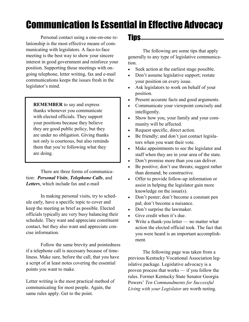### Communication Is Essential in Effective Advocacy

 Personal contact using a one-on-one relationship is the most effective means of communicating with legislators. A face-to-face meeting is the best way to show your sincere interest in good government and reinforce your position. Supporting those meetings with ongoing telephone, letter writing, fax and e-mail communications keeps the issues fresh in the legislator's mind.

 **REMEMBER** to say and express thanks whenever you communicate with elected officials. They support your positions because they believe they are good public policy, but they are under no obligation. Giving thanks not only is courteous, but also reminds them that you're following what they are doing.

 There are three forms of communication: *Personal Visits*, *Telephone Calls*, and *Letters*, which include fax and e-mail

 In making personal visits, try to schedule early, have a specific topic to cover and keep the meeting as brief as possible. Elected officials typically are very busy balancing their schedule. They want and appreciate constituent contact, but they also want and appreciate concise information.

 Follow the same brevity and pointedness if a telephone call is necessary because of timeliness. Make sure, before the call, that you have a script of at least notes covering the essential points you want to make.

Letter writing is the most practical method of communicating for most people. Again, the same rules apply. Get to the point.

#### Tips

 The following are some tips that apply generally to any type of legislative communication.

- Seek action at the earliest stage possible.
- Don't assume legislative support; restate your position on every issue.
- Ask legislators to work on behalf of your position.
- Present accurate facts and good arguments.
- Communicate your viewpoint concisely and intelligently.
- Show how you, your family and your community will be affected.
- Request specific, direct action.
- Be friendly; and don't just contact legislators when you want their vote.
- Make appointments to see the legislator and staff when they are in your area of the state.
- Don't promise more than you can deliver.
- Be positive; don't use threats; suggest rather than demand; be constructive.
- Offer to provide follow-up information or assist in helping the legislator gain more knowledge on the issue(s).
- Don't pester; don't become a constant pen pal; don't become a nuisance.
- Don't surprise the lawmaker.
- Give credit when it's due.
- Write a thank-you letter no matter what action the elected official took. The fact that you were heard is an important accomplishment.

 The following page was taken from a previous Kentucky Vocational Association legislative package. Legislative advocacy is a proven process that works — if you follow the rules. Former Kentucky State Senator Georgia Powers' *Ten Commandments for Successful Living with your Legislator* are worth noting.